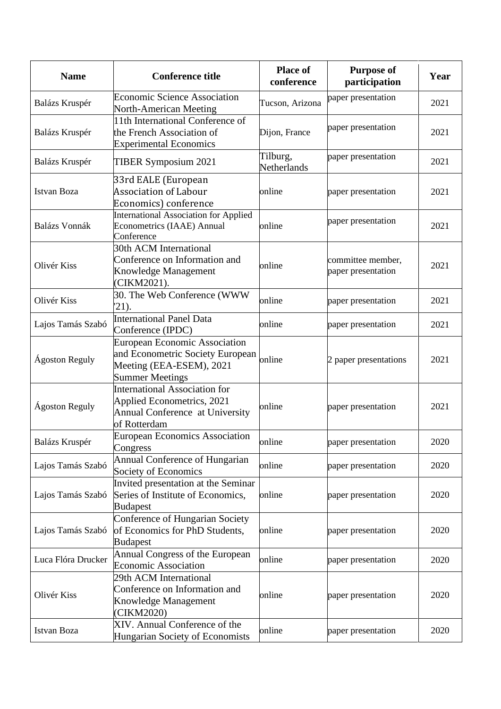| <b>Name</b>           | <b>Conference title</b>                                                                                                        | <b>Place of</b><br>conference | <b>Purpose of</b><br>participation      | Year |
|-----------------------|--------------------------------------------------------------------------------------------------------------------------------|-------------------------------|-----------------------------------------|------|
| Balázs Kruspér        | <b>Economic Science Association</b><br><b>North-American Meeting</b>                                                           | Tucson, Arizona               | paper presentation                      | 2021 |
| Balázs Kruspér        | 11th International Conference of<br>the French Association of<br><b>Experimental Economics</b>                                 | Dijon, France                 | paper presentation                      | 2021 |
| Balázs Kruspér        | <b>TIBER Symposium 2021</b>                                                                                                    | Tilburg,<br>Netherlands       | paper presentation                      | 2021 |
| <b>Istvan Boza</b>    | 33rd EALE (European<br><b>Association of Labour</b><br>Economics) conference                                                   | online                        | paper presentation                      | 2021 |
| Balázs Vonnák         | <b>International Association for Applied</b><br>Econometrics (IAAE) Annual<br>Conference                                       | online                        | paper presentation                      | 2021 |
| Olivér Kiss           | 30th ACM International<br>Conference on Information and<br>Knowledge Management<br>(CIKM2021).                                 | online                        | committee member,<br>paper presentation | 2021 |
| Olivér Kiss           | 30. The Web Conference (WWW<br>$21$ ).                                                                                         | online                        | paper presentation                      | 2021 |
| Lajos Tamás Szabó     | <b>International Panel Data</b><br>Conference (IPDC)                                                                           | online                        | paper presentation                      | 2021 |
| <b>Ágoston Reguly</b> | <b>European Economic Association</b><br>and Econometric Society European<br>Meeting (EEA-ESEM), 2021<br><b>Summer Meetings</b> | online                        | 2 paper presentations                   | 2021 |
| <b>Ágoston Reguly</b> | <b>International Association for</b><br><b>Applied Econometrics, 2021</b><br>Annual Conference at University<br>of Rotterdam   | online                        | paper presentation                      | 2021 |
| Balázs Kruspér        | <b>European Economics Association</b><br>Congress                                                                              | online                        | paper presentation                      | 2020 |
| Lajos Tamás Szabó     | Annual Conference of Hungarian<br>Society of Economics                                                                         | online                        | paper presentation                      | 2020 |
| Lajos Tamás Szabó     | Invited presentation at the Seminar<br>Series of Institute of Economics,<br><b>Budapest</b>                                    | online                        | paper presentation                      | 2020 |
| Lajos Tamás Szabó     | Conference of Hungarian Society<br>of Economics for PhD Students,<br><b>Budapest</b>                                           | online                        | paper presentation                      | 2020 |
| Luca Flóra Drucker    | Annual Congress of the European<br><b>Economic Association</b>                                                                 | online                        | paper presentation                      | 2020 |
| Olivér Kiss           | 29th ACM International<br>Conference on Information and<br>Knowledge Management<br>(CIKM2020)                                  | online                        | paper presentation                      | 2020 |
| Istvan Boza           | XIV. Annual Conference of the<br>Hungarian Society of Economists                                                               | online                        | paper presentation                      | 2020 |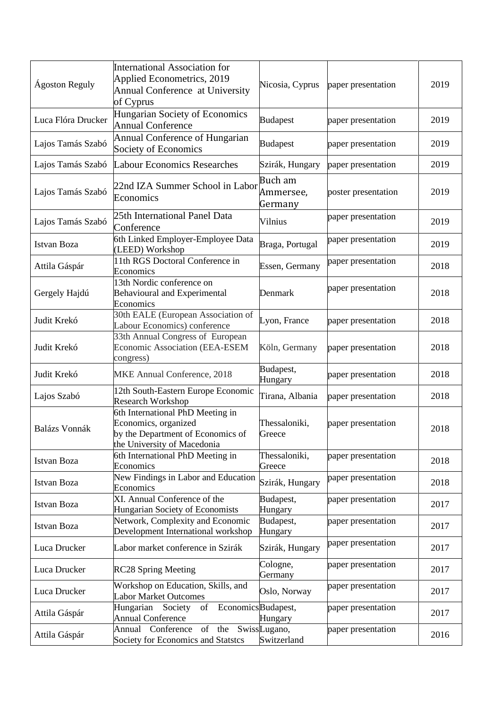| Ágoston Reguly     | <b>International Association for</b><br>Applied Econometrics, 2019<br>Annual Conference at University<br>of Cyprus           | Nicosia, Cyprus                 | paper presentation  | 2019 |
|--------------------|------------------------------------------------------------------------------------------------------------------------------|---------------------------------|---------------------|------|
| Luca Flóra Drucker | Hungarian Society of Economics<br><b>Annual Conference</b>                                                                   | <b>Budapest</b>                 | paper presentation  | 2019 |
| Lajos Tamás Szabó  | Annual Conference of Hungarian<br>Society of Economics                                                                       | <b>Budapest</b>                 | paper presentation  | 2019 |
| Lajos Tamás Szabó  | <b>Labour Economics Researches</b>                                                                                           | Szirák, Hungary                 | paper presentation  | 2019 |
| Lajos Tamás Szabó  | 22nd IZA Summer School in Labor<br>Economics                                                                                 | Buch am<br>Ammersee,<br>Germany | poster presentation | 2019 |
| Lajos Tamás Szabó  | 25th International Panel Data<br>Conference                                                                                  | Vilnius                         | paper presentation  | 2019 |
| Istvan Boza        | 6th Linked Employer-Employee Data<br>(LEED) Workshop                                                                         | Braga, Portugal                 | paper presentation  | 2019 |
| Attila Gáspár      | 11th RGS Doctoral Conference in<br>Economics                                                                                 | Essen, Germany                  | paper presentation  | 2018 |
| Gergely Hajdú      | 13th Nordic conference on<br><b>Behavioural and Experimental</b><br>Economics                                                | Denmark                         | paper presentation  | 2018 |
| Judit Krekó        | 30th EALE (European Association of<br>Labour Economics) conference                                                           | Lyon, France                    | paper presentation  | 2018 |
| Judit Krekó        | 33th Annual Congress of European<br>Economic Association (EEA-ESEM<br>congress)                                              | Köln, Germany                   | paper presentation  | 2018 |
| Judit Krekó        | MKE Annual Conference, 2018                                                                                                  | Budapest,<br>Hungary            | paper presentation  | 2018 |
| Lajos Szabó        | 12th South-Eastern Europe Economic<br><b>Research Workshop</b>                                                               | Tirana, Albania                 | paper presentation  | 2018 |
| Balázs Vonnák      | 6th International PhD Meeting in<br>Economics, organized<br>by the Department of Economics of<br>the University of Macedonia | Thessaloniki,<br>Greece         | paper presentation  | 2018 |
| Istvan Boza        | 6th International PhD Meeting in<br>Economics                                                                                | Thessaloniki,<br>Greece         | paper presentation  | 2018 |
| Istvan Boza        | New Findings in Labor and Education<br>Economics                                                                             | Szirák, Hungary                 | paper presentation  | 2018 |
| <b>Istvan Boza</b> | XI. Annual Conference of the<br>Hungarian Society of Economists                                                              | Budapest,<br>Hungary            | paper presentation  | 2017 |
| <b>Istvan Boza</b> | Network, Complexity and Economic<br>Development International workshop                                                       | Budapest,<br>Hungary            | paper presentation  | 2017 |
| Luca Drucker       | Labor market conference in Szirák                                                                                            | Szirák, Hungary                 | paper presentation  | 2017 |
| Luca Drucker       | <b>RC28 Spring Meeting</b>                                                                                                   | Cologne,<br>Germany             | paper presentation  | 2017 |
| Luca Drucker       | Workshop on Education, Skills, and<br><b>Labor Market Outcomes</b>                                                           | Oslo, Norway                    | paper presentation  | 2017 |
| Attila Gáspár      | of EconomicsBudapest,<br>Hungarian Society<br><b>Annual Conference</b>                                                       | Hungary                         | paper presentation  | 2017 |
| Attila Gáspár      | Annual Conference of the Swiss Lugano,<br>Society for Economics and Statstcs                                                 | Switzerland                     | paper presentation  | 2016 |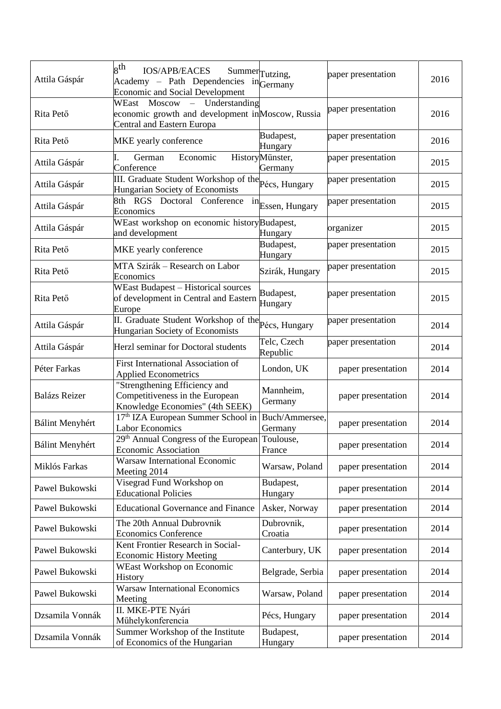| Attila Gáspár        | $_{\rm g}$ th<br><b>IOS/APB/EACES</b><br>Academy – Path Dependencies in $Germany$<br><b>Economic and Social Development</b> | Summer Tutzing,               | paper presentation | 2016 |
|----------------------|-----------------------------------------------------------------------------------------------------------------------------|-------------------------------|--------------------|------|
| Rita Pető            | $WEast$ Moscow – Understanding<br>economic growth and development in Moscow, Russia<br>Central and Eastern Europa           |                               | paper presentation | 2016 |
| Rita Pető            | MKE yearly conference                                                                                                       | Budapest,<br>Hungary          | paper presentation | 2016 |
| Attila Gáspár        | Economic<br>German<br>Conference                                                                                            | HistoryMünster,<br>Germany    | paper presentation | 2015 |
| Attila Gáspár        | III. Graduate Student Workshop of the pécs, Hungary<br>Hungarian Society of Economists                                      |                               | paper presentation | 2015 |
| Attila Gáspár        | 8th RGS Doctoral Conference<br>Economics                                                                                    | in <sub>Essen</sub> , Hungary | paper presentation | 2015 |
| Attila Gáspár        | WEast workshop on economic historyBudapest,<br>and development                                                              | Hungary                       | organizer          | 2015 |
| Rita Pető            | MKE yearly conference                                                                                                       | Budapest,<br>Hungary          | paper presentation | 2015 |
| Rita Pető            | MTA Szirák – Research on Labor<br>Economics                                                                                 | Szirák, Hungary               | paper presentation | 2015 |
| Rita Pető            | <b>WEast Budapest - Historical sources</b><br>of development in Central and Eastern<br>Europe                               | Budapest,<br>Hungary          | paper presentation | 2015 |
| Attila Gáspár        | II. Graduate Student Workshop of the pécs, Hungary<br>Hungarian Society of Economists                                       |                               | paper presentation | 2014 |
| Attila Gáspár        | Herzl seminar for Doctoral students                                                                                         | Telc, Czech<br>Republic       | paper presentation | 2014 |
| Péter Farkas         | First International Association of<br><b>Applied Econometrics</b>                                                           | London, UK                    | paper presentation | 2014 |
| <b>Balázs Reizer</b> | "Strengthening Efficiency and<br>Competitiveness in the European<br>Knowledge Economies" (4th SEEK)                         | Mannheim,<br>Germany          | paper presentation | 2014 |
| Bálint Menyhért      | 17 <sup>th</sup> IZA European Summer School in<br><b>Labor Economics</b>                                                    | Buch/Ammersee,<br>Germany     | paper presentation | 2014 |
| Bálint Menyhért      | 29 <sup>th</sup> Annual Congress of the European Toulouse,<br><b>Economic Association</b>                                   | France                        | paper presentation | 2014 |
| Miklós Farkas        | <b>Warsaw International Economic</b><br>Meeting 2014                                                                        | Warsaw, Poland                | paper presentation | 2014 |
| Pawel Bukowski       | Visegrad Fund Workshop on<br><b>Educational Policies</b>                                                                    | Budapest,<br>Hungary          | paper presentation | 2014 |
| Pawel Bukowski       | <b>Educational Governance and Finance</b>                                                                                   | Asker, Norway                 | paper presentation | 2014 |
| Pawel Bukowski       | The 20th Annual Dubrovnik<br><b>Economics Conference</b>                                                                    | Dubrovnik,<br>Croatia         | paper presentation | 2014 |
| Pawel Bukowski       | Kent Frontier Research in Social-<br><b>Economic History Meeting</b>                                                        | Canterbury, UK                | paper presentation | 2014 |
| Pawel Bukowski       | WEast Workshop on Economic<br>History                                                                                       | Belgrade, Serbia              | paper presentation | 2014 |
| Pawel Bukowski       | <b>Warsaw International Economics</b><br>Meeting                                                                            | Warsaw, Poland                | paper presentation | 2014 |
| Dzsamila Vonnák      | II. MKE-PTE Nyári<br>Műhelykonferencia                                                                                      | Pécs, Hungary                 | paper presentation | 2014 |
| Dzsamila Vonnák      | Summer Workshop of the Institute<br>of Economics of the Hungarian                                                           | Budapest,<br>Hungary          | paper presentation | 2014 |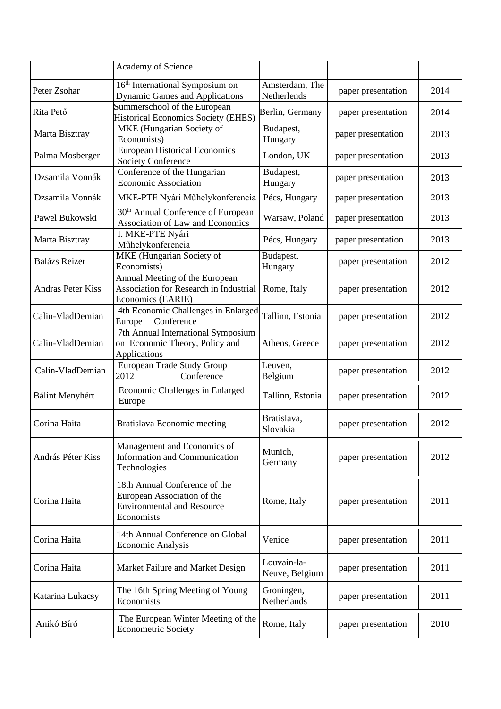|                          | Academy of Science                                                                                              |                               |                    |      |
|--------------------------|-----------------------------------------------------------------------------------------------------------------|-------------------------------|--------------------|------|
| Peter Zsohar             | 16 <sup>th</sup> International Symposium on<br><b>Dynamic Games and Applications</b>                            | Amsterdam, The<br>Netherlends | paper presentation | 2014 |
| Rita Pető                | Summerschool of the European<br>Historical Economics Society (EHES)                                             | Berlin, Germany               | paper presentation | 2014 |
| Marta Bisztray           | MKE (Hungarian Society of<br>Economists)                                                                        | Budapest,<br>Hungary          | paper presentation | 2013 |
| Palma Mosberger          | <b>European Historical Economics</b><br><b>Society Conference</b>                                               | London, UK                    | paper presentation | 2013 |
| Dzsamila Vonnák          | Conference of the Hungarian<br><b>Economic Association</b>                                                      | Budapest,<br>Hungary          | paper presentation | 2013 |
| Dzsamila Vonnák          | MKE-PTE Nyári Műhelykonferencia                                                                                 | Pécs, Hungary                 | paper presentation | 2013 |
| Pawel Bukowski           | 30 <sup>th</sup> Annual Conference of European<br>Association of Law and Economics                              | Warsaw, Poland                | paper presentation | 2013 |
| Marta Bisztray           | I. MKE-PTE Nyári<br>Műhelykonferencia                                                                           | Pécs, Hungary                 | paper presentation | 2013 |
| <b>Balázs Reizer</b>     | MKE (Hungarian Society of<br>Economists)                                                                        | Budapest,<br>Hungary          | paper presentation | 2012 |
| <b>Andras Peter Kiss</b> | Annual Meeting of the European<br>Association for Research in Industrial<br>Economics (EARIE)                   | Rome, Italy                   | paper presentation | 2012 |
| Calin-VladDemian         | 4th Economic Challenges in Enlarged<br>Conference<br>Europe                                                     | Tallinn, Estonia              | paper presentation | 2012 |
| Calin-VladDemian         | 7th Annual International Symposium<br>on Economic Theory, Policy and<br>Applications                            | Athens, Greece                | paper presentation | 2012 |
| Calin-VladDemian         | European Trade Study Group<br>2012<br>Conference                                                                | Leuven,<br>Belgium            | paper presentation | 2012 |
| Bálint Menyhért          | Economic Challenges in Enlarged<br>Europe                                                                       | Tallinn, Estonia              | paper presentation | 2012 |
| Corina Haita             | Bratislava Economic meeting                                                                                     | Bratislava,<br>Slovakia       | paper presentation | 2012 |
| András Péter Kiss        | Management and Economics of<br><b>Information and Communication</b><br>Technologies                             | Munich,<br>Germany            | paper presentation | 2012 |
| Corina Haita             | 18th Annual Conference of the<br>European Association of the<br><b>Environmental and Resource</b><br>Economists | Rome, Italy                   | paper presentation | 2011 |
| Corina Haita             | 14th Annual Conference on Global<br>Economic Analysis                                                           | Venice                        | paper presentation | 2011 |
| Corina Haita             | Market Failure and Market Design                                                                                | Louvain-la-<br>Neuve, Belgium | paper presentation | 2011 |
| Katarina Lukacsy         | The 16th Spring Meeting of Young<br>Economists                                                                  | Groningen,<br>Netherlands     | paper presentation | 2011 |
| Anikó Bíró               | The European Winter Meeting of the<br><b>Econometric Society</b>                                                | Rome, Italy                   | paper presentation | 2010 |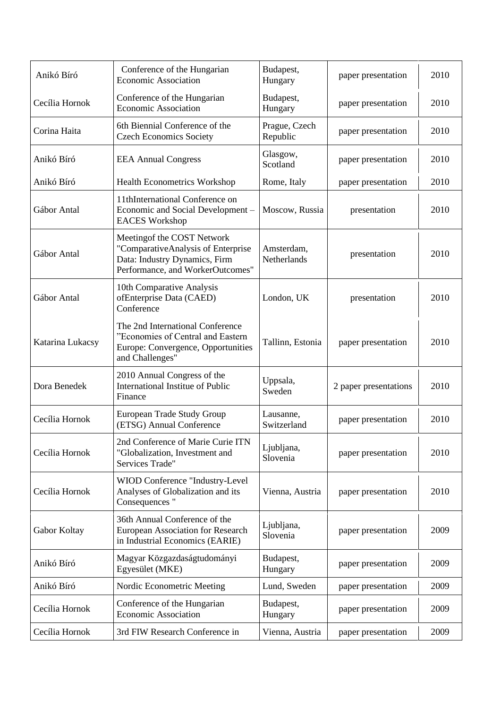| Anikó Bíró       | Conference of the Hungarian<br><b>Economic Association</b>                                                                             | Budapest,<br>Hungary      | paper presentation    | 2010 |
|------------------|----------------------------------------------------------------------------------------------------------------------------------------|---------------------------|-----------------------|------|
| Cecília Hornok   | Conference of the Hungarian<br><b>Economic Association</b>                                                                             | Budapest,<br>Hungary      | paper presentation    | 2010 |
| Corina Haita     | 6th Biennial Conference of the<br><b>Czech Economics Society</b>                                                                       | Prague, Czech<br>Republic | paper presentation    | 2010 |
| Anikó Bíró       | <b>EEA Annual Congress</b>                                                                                                             | Glasgow,<br>Scotland      | paper presentation    | 2010 |
| Anikó Bíró       | <b>Health Econometrics Workshop</b>                                                                                                    | Rome, Italy               | paper presentation    | 2010 |
| Gábor Antal      | 11thInternational Conference on<br>Economic and Social Development -<br><b>EACES Workshop</b>                                          | Moscow, Russia            | presentation          | 2010 |
| Gábor Antal      | Meeting of the COST Network<br>"ComparativeAnalysis of Enterprise<br>Data: Industry Dynamics, Firm<br>Performance, and WorkerOutcomes" | Amsterdam,<br>Netherlands | presentation          | 2010 |
| Gábor Antal      | 10th Comparative Analysis<br>ofEnterprise Data (CAED)<br>Conference                                                                    | London, UK                | presentation          | 2010 |
| Katarina Lukacsy | The 2nd International Conference<br>"Economies of Central and Eastern<br>Europe: Convergence, Opportunities<br>and Challenges"         | Tallinn, Estonia          | paper presentation    | 2010 |
| Dora Benedek     | 2010 Annual Congress of the<br><b>International Institue of Public</b><br>Finance                                                      | Uppsala,<br>Sweden        | 2 paper presentations | 2010 |
| Cecília Hornok   | European Trade Study Group<br>(ETSG) Annual Conference                                                                                 | Lausanne,<br>Switzerland  | paper presentation    | 2010 |
| Cecília Hornok   | 2nd Conference of Marie Curie ITN<br>"Globalization, Investment and<br>Services Trade"                                                 | Ljubljana,<br>Slovenia    | paper presentation    | 2010 |
| Cecília Hornok   | WIOD Conference "Industry-Level<br>Analyses of Globalization and its<br>Consequences "                                                 | Vienna, Austria           | paper presentation    | 2010 |
| Gabor Koltay     | 36th Annual Conference of the<br><b>European Association for Research</b><br>in Industrial Economics (EARIE)                           | Ljubljana,<br>Slovenia    | paper presentation    | 2009 |
| Anikó Bíró       | Magyar Közgazdaságtudományi<br>Egyesület (MKE)                                                                                         | Budapest,<br>Hungary      | paper presentation    | 2009 |
| Anikó Bíró       | Nordic Econometric Meeting                                                                                                             | Lund, Sweden              | paper presentation    | 2009 |
| Cecília Hornok   | Conference of the Hungarian<br><b>Economic Association</b>                                                                             | Budapest,<br>Hungary      | paper presentation    | 2009 |
| Cecília Hornok   | 3rd FIW Research Conference in                                                                                                         | Vienna, Austria           | paper presentation    | 2009 |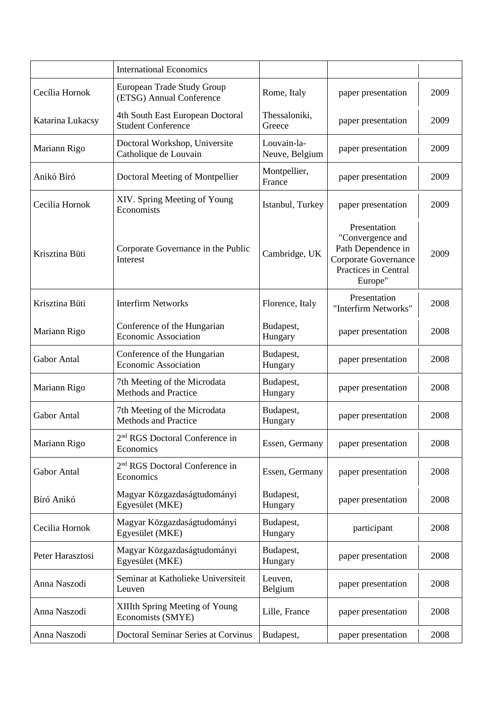|                  | <b>International Economics</b>                                |                               |                                                                                                                   |      |
|------------------|---------------------------------------------------------------|-------------------------------|-------------------------------------------------------------------------------------------------------------------|------|
| Cecília Hornok   | European Trade Study Group<br>(ETSG) Annual Conference        | Rome, Italy                   | paper presentation                                                                                                | 2009 |
| Katarina Lukacsy | 4th South East European Doctoral<br><b>Student Conference</b> | Thessaloniki,<br>Greece       | paper presentation                                                                                                | 2009 |
| Mariann Rigo     | Doctoral Workshop, Universite<br>Catholique de Louvain        | Louvain-la-<br>Neuve, Belgium | paper presentation                                                                                                | 2009 |
| Anikó Bíró       | Doctoral Meeting of Montpellier                               | Montpellier,<br>France        | paper presentation                                                                                                | 2009 |
| Cecilia Hornok   | XIV. Spring Meeting of Young<br>Economists                    | Istanbul, Turkey              | paper presentation                                                                                                | 2009 |
| Krisztina Büti   | Corporate Governance in the Public<br>Interest                | Cambridge, UK                 | Presentation<br>"Convergence and<br>Path Dependence in<br>Corporate Governance<br>Practices in Central<br>Europe" | 2009 |
| Krisztina Büti   | <b>Interfirm Networks</b>                                     | Florence, Italy               | Presentation<br>"Interfirm Networks"                                                                              | 2008 |
| Mariann Rigo     | Conference of the Hungarian<br><b>Economic Association</b>    | Budapest,<br>Hungary          | paper presentation                                                                                                | 2008 |
| Gabor Antal      | Conference of the Hungarian<br><b>Economic Association</b>    | Budapest,<br>Hungary          | paper presentation                                                                                                | 2008 |
| Mariann Rigo     | 7th Meeting of the Microdata<br><b>Methods and Practice</b>   | Budapest,<br>Hungary          | paper presentation                                                                                                | 2008 |
| Gabor Antal      | 7th Meeting of the Microdata<br>Methods and Practice          | Budapest,<br>Hungary          | paper presentation                                                                                                | 2008 |
| Mariann Rigo     | 2 <sup>nd</sup> RGS Doctoral Conference in<br>Economics       | Essen, Germany                | paper presentation                                                                                                | 2008 |
| Gabor Antal      | 2 <sup>nd</sup> RGS Doctoral Conference in<br>Economics       | Essen, Germany                | paper presentation                                                                                                | 2008 |
| Bíró Anikó       | Magyar Közgazdaságtudományi<br>Egyesület (MKE)                | Budapest,<br>Hungary          | paper presentation                                                                                                | 2008 |
| Cecilia Hornok   | Magyar Közgazdaságtudományi<br>Egyesület (MKE)                | Budapest,<br>Hungary          | participant                                                                                                       | 2008 |
| Peter Harasztosi | Magyar Közgazdaságtudományi<br>Egyesület (MKE)                | Budapest,<br>Hungary          | paper presentation                                                                                                | 2008 |
| Anna Naszodi     | Seminar at Katholieke Universiteit<br>Leuven                  | Leuven,<br>Belgium            | paper presentation                                                                                                | 2008 |
| Anna Naszodi     | <b>XIIIth Spring Meeting of Young</b><br>Economists (SMYE)    | Lille, France                 | paper presentation                                                                                                | 2008 |
| Anna Naszodi     | Doctoral Seminar Series at Corvinus                           | Budapest,                     | paper presentation                                                                                                | 2008 |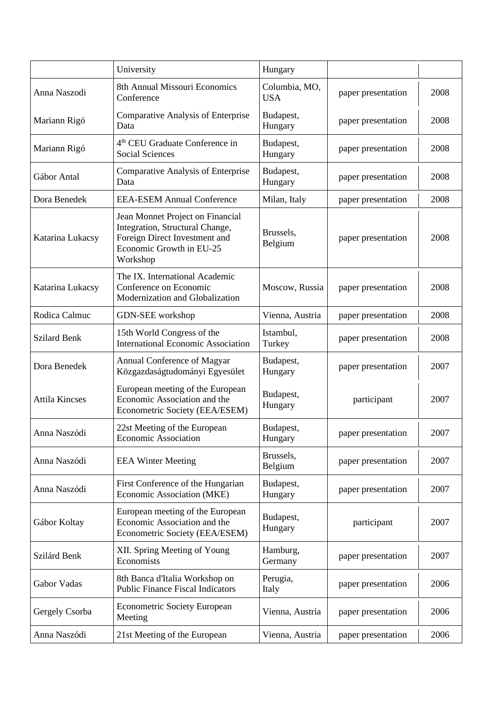|                       | University                                                                                                                                   | Hungary                     |                    |      |
|-----------------------|----------------------------------------------------------------------------------------------------------------------------------------------|-----------------------------|--------------------|------|
| Anna Naszodi          | 8th Annual Missouri Economics<br>Conference                                                                                                  | Columbia, MO,<br><b>USA</b> | paper presentation | 2008 |
| Mariann Rigó          | Comparative Analysis of Enterprise<br>Data                                                                                                   | Budapest,<br>Hungary        | paper presentation | 2008 |
| Mariann Rigó          | 4 <sup>th</sup> CEU Graduate Conference in<br><b>Social Sciences</b>                                                                         | Budapest,<br>Hungary        | paper presentation | 2008 |
| Gábor Antal           | <b>Comparative Analysis of Enterprise</b><br>Data                                                                                            | Budapest,<br>Hungary        | paper presentation | 2008 |
| Dora Benedek          | <b>EEA-ESEM Annual Conference</b>                                                                                                            | Milan, Italy                | paper presentation | 2008 |
| Katarina Lukacsy      | Jean Monnet Project on Financial<br>Integration, Structural Change,<br>Foreign Direct Investment and<br>Economic Growth in EU-25<br>Workshop | Brussels,<br>Belgium        | paper presentation | 2008 |
| Katarina Lukacsy      | The IX. International Academic<br>Conference on Economic<br>Modernization and Globalization                                                  | Moscow, Russia              | paper presentation | 2008 |
| Rodica Calmuc         | GDN-SEE workshop                                                                                                                             | Vienna, Austria             | paper presentation | 2008 |
| <b>Szilard Benk</b>   | 15th World Congress of the<br><b>International Economic Association</b>                                                                      | Istambul,<br>Turkey         | paper presentation | 2008 |
| Dora Benedek          | Annual Conference of Magyar<br>Közgazdaságtudományi Egyesület                                                                                | Budapest,<br>Hungary        | paper presentation | 2007 |
| <b>Attila Kincses</b> | European meeting of the European<br>Economic Association and the<br>Econometric Society (EEA/ESEM)                                           | Budapest,<br>Hungary        | participant        | 2007 |
| Anna Naszódi          | 22st Meeting of the European<br><b>Economic Association</b>                                                                                  | Budapest,<br>Hungary        | paper presentation | 2007 |
| Anna Naszódi          | <b>EEA Winter Meeting</b>                                                                                                                    | Brussels,<br>Belgium        | paper presentation | 2007 |
| Anna Naszódi          | First Conference of the Hungarian<br>Economic Association (MKE)                                                                              | Budapest,<br>Hungary        | paper presentation | 2007 |
| Gábor Koltay          | European meeting of the European<br>Economic Association and the<br>Econometric Society (EEA/ESEM)                                           | Budapest,<br>Hungary        | participant        | 2007 |
| Szilárd Benk          | XII. Spring Meeting of Young<br>Economists                                                                                                   | Hamburg,<br>Germany         | paper presentation | 2007 |
| Gabor Vadas           | 8th Banca d'Italia Workshop on<br><b>Public Finance Fiscal Indicators</b>                                                                    | Perugia,<br>Italy           | paper presentation | 2006 |
| Gergely Csorba        | <b>Econometric Society European</b><br>Meeting                                                                                               | Vienna, Austria             | paper presentation | 2006 |
| Anna Naszódi          | 21st Meeting of the European                                                                                                                 | Vienna, Austria             | paper presentation | 2006 |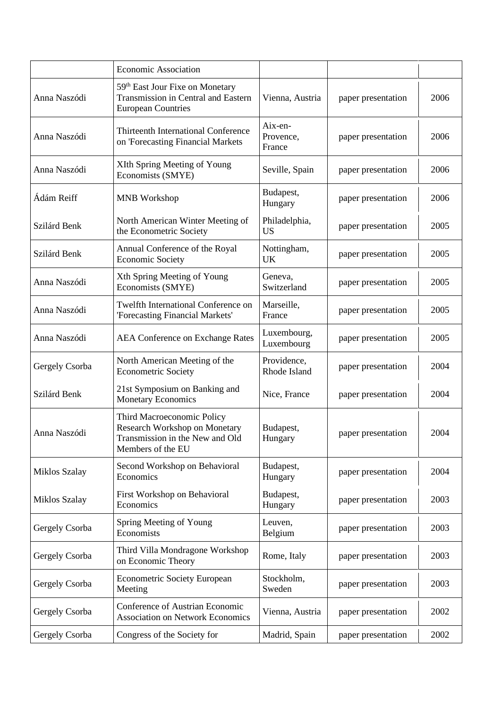|                      | <b>Economic Association</b>                                                                                         |                                |                    |      |
|----------------------|---------------------------------------------------------------------------------------------------------------------|--------------------------------|--------------------|------|
| Anna Naszódi         | 59 <sup>th</sup> East Jour Fixe on Monetary<br>Transmission in Central and Eastern<br><b>European Countries</b>     | Vienna, Austria                | paper presentation | 2006 |
| Anna Naszódi         | <b>Thirteenth International Conference</b><br>on 'Forecasting Financial Markets                                     | Aix-en-<br>Provence,<br>France | paper presentation | 2006 |
| Anna Naszódi         | XIth Spring Meeting of Young<br>Economists (SMYE)                                                                   | Seville, Spain                 | paper presentation | 2006 |
| Ádám Reiff           | <b>MNB</b> Workshop                                                                                                 | Budapest,<br>Hungary           | paper presentation | 2006 |
| Szilárd Benk         | North American Winter Meeting of<br>the Econometric Society                                                         | Philadelphia,<br><b>US</b>     | paper presentation | 2005 |
| Szilárd Benk         | Annual Conference of the Royal<br><b>Economic Society</b>                                                           | Nottingham,<br><b>UK</b>       | paper presentation | 2005 |
| Anna Naszódi         | Xth Spring Meeting of Young<br>Economists (SMYE)                                                                    | Geneva,<br>Switzerland         | paper presentation | 2005 |
| Anna Naszódi         | <b>Twelfth International Conference on</b><br>'Forecasting Financial Markets'                                       | Marseille,<br>France           | paper presentation | 2005 |
| Anna Naszódi         | <b>AEA Conference on Exchange Rates</b>                                                                             | Luxembourg,<br>Luxembourg      | paper presentation | 2005 |
| Gergely Csorba       | North American Meeting of the<br><b>Econometric Society</b>                                                         | Providence,<br>Rhode Island    | paper presentation | 2004 |
| Szilárd Benk         | 21st Symposium on Banking and<br><b>Monetary Economics</b>                                                          | Nice, France                   | paper presentation | 2004 |
| Anna Naszódi         | Third Macroeconomic Policy<br>Research Workshop on Monetary<br>Transmission in the New and Old<br>Members of the EU | Budapest,<br>Hungary           | paper presentation | 2004 |
| <b>Miklos Szalay</b> | Second Workshop on Behavioral<br>Economics                                                                          | Budapest,<br>Hungary           | paper presentation | 2004 |
| <b>Miklos Szalay</b> | First Workshop on Behavioral<br>Economics                                                                           | Budapest,<br>Hungary           | paper presentation | 2003 |
| Gergely Csorba       | Spring Meeting of Young<br>Economists                                                                               | Leuven,<br>Belgium             | paper presentation | 2003 |
| Gergely Csorba       | Third Villa Mondragone Workshop<br>on Economic Theory                                                               | Rome, Italy                    | paper presentation | 2003 |
| Gergely Csorba       | <b>Econometric Society European</b><br>Meeting                                                                      | Stockholm,<br>Sweden           | paper presentation | 2003 |
| Gergely Csorba       | <b>Conference of Austrian Economic</b><br><b>Association on Network Economics</b>                                   | Vienna, Austria                | paper presentation | 2002 |
| Gergely Csorba       | Congress of the Society for                                                                                         | Madrid, Spain                  | paper presentation | 2002 |